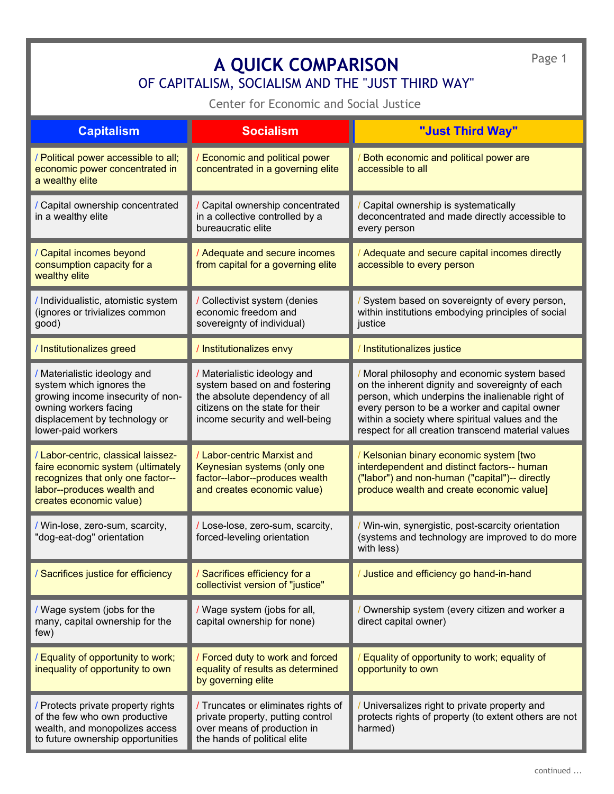Page 1

## **A QUICK COMPARISON** O[F CA](http://cesj.org/index.html)P[ITALISM,](http://cesj.org/about/aboutcesj.htm) [SOCIALISM A](http://cesj.org/thirdway/thirdway-intro.htm)[ND THE "JUST T](http://cesj.org/homestead/summary-cha.htm)[HIRD](http://cesj.org/cesjsitemap.html) WAY"

Center for Economic and Social Justice

| <b>Capitalism</b>                                                                                                                                                             | <b>Socialism</b>                                                                                                                                                     | "Just Third Way"                                                                                                                                                                                                                                                                                            |
|-------------------------------------------------------------------------------------------------------------------------------------------------------------------------------|----------------------------------------------------------------------------------------------------------------------------------------------------------------------|-------------------------------------------------------------------------------------------------------------------------------------------------------------------------------------------------------------------------------------------------------------------------------------------------------------|
| / Political power accessible to all;<br>economic power concentrated in<br>a wealthy elite                                                                                     | / Economic and political power<br>concentrated in a governing elite                                                                                                  | Both economic and political power are<br>accessible to all                                                                                                                                                                                                                                                  |
| / Capital ownership concentrated<br>in a wealthy elite                                                                                                                        | / Capital ownership concentrated<br>in a collective controlled by a<br>bureaucratic elite                                                                            | Capital ownership is systematically<br>deconcentrated and made directly accessible to<br>every person                                                                                                                                                                                                       |
| / Capital incomes beyond<br>consumption capacity for a<br>wealthy elite                                                                                                       | / Adequate and secure incomes<br>from capital for a governing elite                                                                                                  | Adequate and secure capital incomes directly<br>accessible to every person                                                                                                                                                                                                                                  |
| / Individualistic, atomistic system<br>(ignores or trivializes common<br>good)                                                                                                | / Collectivist system (denies<br>economic freedom and<br>sovereignty of individual)                                                                                  | System based on sovereignty of every person,<br>within institutions embodying principles of social<br>justice                                                                                                                                                                                               |
| / Institutionalizes greed                                                                                                                                                     | / Institutionalizes envy                                                                                                                                             | Institutionalizes justice                                                                                                                                                                                                                                                                                   |
| / Materialistic ideology and<br>system which ignores the<br>growing income insecurity of non-<br>owning workers facing<br>displacement by technology or<br>lower-paid workers | / Materialistic ideology and<br>system based on and fostering<br>the absolute dependency of all<br>citizens on the state for their<br>income security and well-being | Moral philosophy and economic system based<br>on the inherent dignity and sovereignty of each<br>person, which underpins the inalienable right of<br>every person to be a worker and capital owner<br>within a society where spiritual values and the<br>respect for all creation transcend material values |
| / Labor-centric, classical laissez-<br>faire economic system (ultimately<br>recognizes that only one factor--<br>labor--produces wealth and<br>creates economic value)        | / Labor-centric Marxist and<br>Keynesian systems (only one<br>factor--labor--produces wealth<br>and creates economic value)                                          | Kelsonian binary economic system [two<br>interdependent and distinct factors-- human<br>("labor") and non-human ("capital")-- directly<br>produce wealth and create economic value]                                                                                                                         |
| / Win-lose, zero-sum, scarcity,<br>"dog-eat-dog" orientation                                                                                                                  | / Lose-lose, zero-sum, scarcity,<br>forced-leveling orientation                                                                                                      | / Win-win, synergistic, post-scarcity orientation<br>(systems and technology are improved to do more<br>with less)                                                                                                                                                                                          |
| / Sacrifices justice for efficiency                                                                                                                                           | Sacrifices efficiency for a<br>collectivist version of "justice"                                                                                                     | Justice and efficiency go hand-in-hand                                                                                                                                                                                                                                                                      |
| / Wage system (jobs for the<br>many, capital ownership for the<br>few)                                                                                                        | / Wage system (jobs for all,<br>capital ownership for none)                                                                                                          | Ownership system (every citizen and worker a<br>direct capital owner)                                                                                                                                                                                                                                       |
| / Equality of opportunity to work;<br>inequality of opportunity to own                                                                                                        | / Forced duty to work and forced<br>equality of results as determined<br>by governing elite                                                                          | Equality of opportunity to work; equality of<br>opportunity to own                                                                                                                                                                                                                                          |
| / Protects private property rights<br>of the few who own productive<br>wealth, and monopolizes access<br>to future ownership opportunities                                    | / Truncates or eliminates rights of<br>private property, putting control<br>over means of production in<br>the hands of political elite                              | Universalizes right to private property and<br>protects rights of property (to extent others are not<br>harmed)                                                                                                                                                                                             |